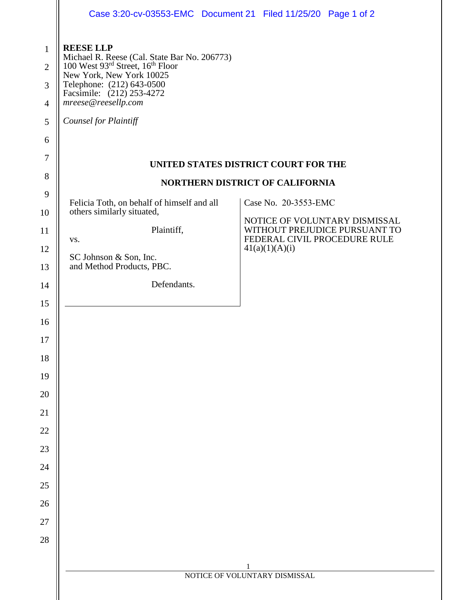|                | Case 3:20-cv-03553-EMC  Document 21  Filed 11/25/20  Page 1 of 2                                                                          |                                                               |  |
|----------------|-------------------------------------------------------------------------------------------------------------------------------------------|---------------------------------------------------------------|--|
| $\mathbf{1}$   | <b>REESE LLP</b>                                                                                                                          |                                                               |  |
| $\overline{2}$ | Michael R. Reese (Cal. State Bar No. 206773)<br>100 West 93rd Street, 16th Floor<br>New York, New York 10025<br>Telephone: (212) 643-0500 |                                                               |  |
| 3              |                                                                                                                                           |                                                               |  |
| $\overline{4}$ | Facsimile: (212) 253-4272<br>mreese@reesellp.com                                                                                          |                                                               |  |
| 5              | Counsel for Plaintiff                                                                                                                     |                                                               |  |
| 6              |                                                                                                                                           |                                                               |  |
| $\tau$         | UNITED STATES DISTRICT COURT FOR THE                                                                                                      |                                                               |  |
| 8              | <b>NORTHERN DISTRICT OF CALIFORNIA</b>                                                                                                    |                                                               |  |
| 9              | Felicia Toth, on behalf of himself and all<br>Case No. 20-3553-EMC<br>others similarly situated,                                          |                                                               |  |
| 10             |                                                                                                                                           | NOTICE OF VOLUNTARY DISMISSAL                                 |  |
| 11             | Plaintiff,                                                                                                                                | WITHOUT PREJUDICE PURSUANT TO<br>FEDERAL CIVIL PROCEDURE RULE |  |
| 12             | VS.<br>41(a)(1)(A)(i)                                                                                                                     |                                                               |  |
| 13             | SC Johnson & Son, Inc.<br>and Method Products, PBC.                                                                                       |                                                               |  |
| 14             | Defendants.                                                                                                                               |                                                               |  |
| 15             |                                                                                                                                           |                                                               |  |
| 16             |                                                                                                                                           |                                                               |  |
| 17             |                                                                                                                                           |                                                               |  |
| 18             |                                                                                                                                           |                                                               |  |
| 19             |                                                                                                                                           |                                                               |  |
| 20             |                                                                                                                                           |                                                               |  |
| 21             |                                                                                                                                           |                                                               |  |
| 22             |                                                                                                                                           |                                                               |  |
| 23             |                                                                                                                                           |                                                               |  |
| 24             |                                                                                                                                           |                                                               |  |
| 25             |                                                                                                                                           |                                                               |  |
| 26             |                                                                                                                                           |                                                               |  |
| 27             |                                                                                                                                           |                                                               |  |
| 28             |                                                                                                                                           |                                                               |  |
|                | 1                                                                                                                                         |                                                               |  |
|                | NOTICE OF VOLUNTARY DISMISSAL                                                                                                             |                                                               |  |
|                |                                                                                                                                           |                                                               |  |